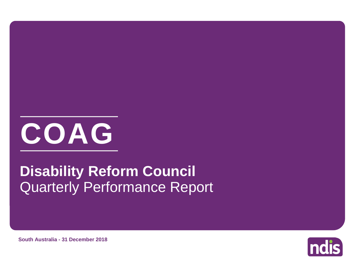

# Quarterly Performance Report **Disability Reform Council**



**South Australia - 31 December 2018**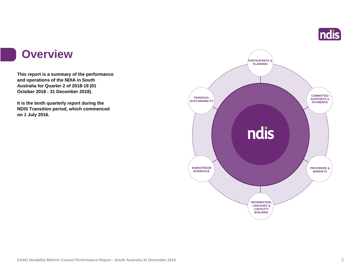

#### **Overview**

**This report is a summary of the performance and operations of the NDIA in South Australia for Quarter 2 of 2018-19 (01 October 2018 - 31 December 2018).**

**It is the tenth quarterly report during the NDIS Transition period, which commenced on 1 July 2016.** 

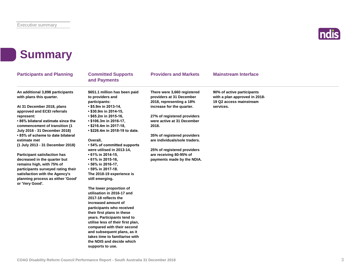

### **Summary**

| <b>Participants and Planning</b>                                                                                                                                                          | <b>Committed Supports</b><br>and Payments                                                                                   | <b>Providers and Markets</b>                                                        | <b>Mainstream Interface</b>                                                            |  |
|-------------------------------------------------------------------------------------------------------------------------------------------------------------------------------------------|-----------------------------------------------------------------------------------------------------------------------------|-------------------------------------------------------------------------------------|----------------------------------------------------------------------------------------|--|
| An additional 3,898 participants<br>with plans this quarter.                                                                                                                              | \$651.1 million has been paid<br>to providers and<br>participants:                                                          | There were 3,660 registered<br>providers at 31 December<br>2018, representing a 18% | 90% of active participants<br>with a plan approved in 2018-<br>19 Q2 access mainstream |  |
| At 31 December 2018, plans<br>approved and ECEI referrals                                                                                                                                 | $\cdot$ \$5.9m in 2013-14,<br>$\cdot$ \$30.9m in 2014-15,                                                                   | increase for the quarter.                                                           | services.                                                                              |  |
| represent:<br>•86% bilateral estimate since the<br>commencement of transition (1                                                                                                          | $\cdot$ \$65.2m in 2015-16,<br>• \$106.3m in 2016-17,<br>• \$216.4m in 2017-18,                                             | 27% of registered providers<br>were active at 31 December<br>2018.                  |                                                                                        |  |
| July 2016 - 31 December 2018)<br>• 85% of scheme to date bilateral<br>estimate met<br>(1 July 2013 - 31 December 2018)                                                                    | • \$226.4m in 2018-19 to date.<br>Overall.<br>• 54% of committed supports                                                   | 35% of registered providers<br>are individuals/sole traders.                        |                                                                                        |  |
| <b>Participant satisfaction has</b>                                                                                                                                                       | were utilised in 2013-14,<br>• 61% in 2014-15,                                                                              | 25% of registered providers<br>are receiving 80-95% of                              |                                                                                        |  |
| decreased in the quarter but<br>remains high, with 75% of<br>participants surveyed rating their<br>satisfaction with the Agency's<br>planning process as either 'Good'<br>or 'Very Good'. | • 61% in 2015-16,<br>• 56% in 2016-17,<br>• 59% in 2017-18.<br>The 2018-19 experience is<br>still emerging.                 | payments made by the NDIA.                                                          |                                                                                        |  |
|                                                                                                                                                                                           | The lower proportion of<br>utilisation in 2016-17 and<br>2017-18 reflects the<br>increased amount of                        |                                                                                     |                                                                                        |  |
|                                                                                                                                                                                           | participants who received<br>their first plans in these<br>years. Participants tend to<br>utilise less of their first plan, |                                                                                     |                                                                                        |  |
|                                                                                                                                                                                           | compared with their second<br>and subsequent plans, as it<br>takes time to familiarise with<br>the NDIS and decide which    |                                                                                     |                                                                                        |  |
|                                                                                                                                                                                           | supports to use.                                                                                                            |                                                                                     |                                                                                        |  |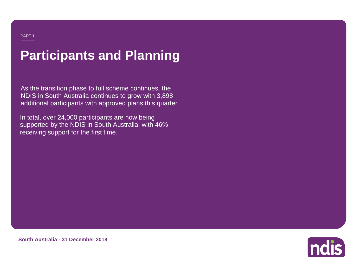# **Participants and Planning**

As the transition phase to full scheme continues, the NDIS in South Australia continues to grow with 3,898 additional participants with approved plans this quarter.

In total, over 24,000 participants are now being supported by the NDIS in South Australia, with 46% receiving support for the first time.

**South Australia - 31 December 2018**

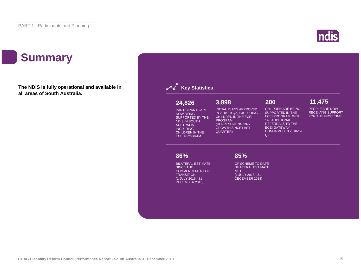### **Summary**

**The NDIS is fully operational and available in all areas of South Australia.**



**86%**

**Key Statistics** 

**24,826**

PARTICIPANTS ARE NOW BEING SUPPORTED BY THE NDIS IN SOUTH AUSTRALIA, INCLUDING CHILDREN IN THE ECEI PROGRAM

BILATERAL ESTIMATE SINCE THE COMMENCEMENT OF **TRANSITION** (1 JULY 2016 - 31 DECEMBER 2018)

MET (1 JULY 2013 - 31 DECEMBER 2018)

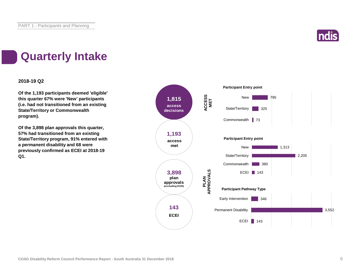

### **Quarterly Intake**

#### **2018-19 Q2**

**Of the 1,193 participants deemed 'eligible' this quarter 67% were 'New' participants (i.e. had not transitioned from an existing State/Territory or Commonwealth program).**

**Of the 3,898 plan approvals this quarter, 57% had transitioned from an existing State/Territory program, 91% entered with a permanent disability and 68 were previously confirmed as ECEI at 2018-19 Q1.**

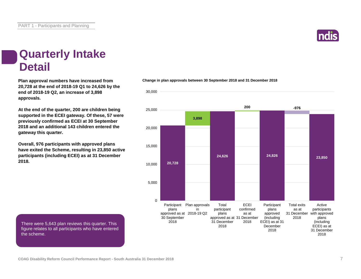There were 5,643 plan reviews this quarter. This figure relates to all participants who have entered

**COAG Disability Reform Council Performance Report - South Australia 31 December 2018** 7

#### **Quarterly Intake Detail**

**20,728 at the end of 2018-19 Q1 to 24,626 by the end of 2018-19 Q2, an increase of 3,898 approvals.**

**At the end of the quarter, 200 are children being supported in the ECEI gateway. Of these, 57 were previously confirmed as ECEI at 30 September 2018 and an additional 143 children entered the gateway this quarter.**

**Overall, 976 participants with approved plans have exited the Scheme, resulting in 23,850 active participants (including ECEI) as at 31 December 2018.**

#### **Plan approval numbers have increased from Change in plan approvals between 30 September 2018 and 31 December 2018**



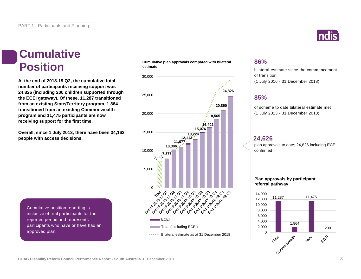#### **Cumulative Position**

**At the end of 2018-19 Q2, the cumulative total number of participants receiving support was 24,826 (including 200 children supported through the ECEI gateway). Of these, 11,287 transitioned from an existing State/Territory program, 1,864 transitioned from an existing Commonwealth program and 11,475 participants are now receiving support for the first time.**

**Overall, since 1 July 2013, there have been 34,162 people with access decisions.**

**Cumulative plan approvals compared with bilateral estimate**



#### **86%**

bilateral estimate since the commencement of transition (1 July 2016 - 31 December 2018)

#### **85%**

of scheme to date bilateral estimate met (1 July 2013 - 31 December 2018)

#### **24,626**

plan approvals to date; 24,826 including ECEI confirmed

#### **Plan approvals by participant referral pathway**



Cumulative position reporting is inclusive of trial participants for the reported period and represents participants who have or have had an approved plan.

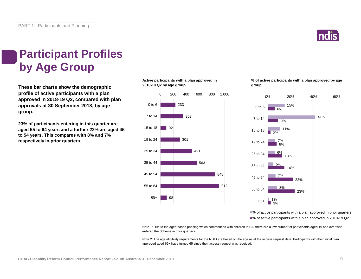

### **Participant Profiles by Age Group**

**These bar charts show the demographic profile of active participants with a plan approved in 2018-19 Q2, compared with plan approvals at 30 September 2018, by age group.**

**23% of participants entering in this quarter are aged 55 to 64 years and a further 22% are aged 45 to 54 years. This compares with 8% and 7% respectively in prior quarters.**

**Active participants with a plan approved in 2018-19 Q2 by age group**



**% of active participants with a plan approved by age group**



■% of active participants with a plan approved in prior quarters ■% of active participants with a plan approved in 2018-19 Q2

Note 1: Due to the aged based phasing which commenced with children in SA, there are a low number of participants aged 19 and over who entered the Scheme in prior quarters.

Note 2: The age eligibility requirements for the NDIS are based on the age as at the access request date. Participants with their initial plan approved aged 65+ have turned 65 since their access request was received.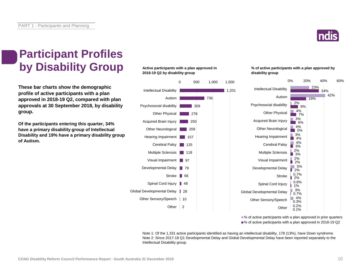

### **Participant Profiles by Disability Group**

**These bar charts show the demographic profile of active participants with a plan approved in 2018-19 Q2, compared with plan approvals at 30 September 2018, by disability group.**

**Of the participants entering this quarter, 34% have a primary disability group of Intellectual Disability and 19% have a primary disability group of Autism.**

#### **Active participants with a plan approved in 2018-19 Q2 by disability group**



**% of active participants with a plan approved by disability group**



■% of active participants with a plan approved in prior quarters ■% of active participants with a plan approved in 2018-19 Q2

Note 1: Of the 1,331 active participants identified as having an intellectual disability, 178 (13%), have Down syndrome. Note 2: Since 2017-18 Q1 Developmental Delay and Global Developmental Delay have been reported separately to the Intellectual Disability group.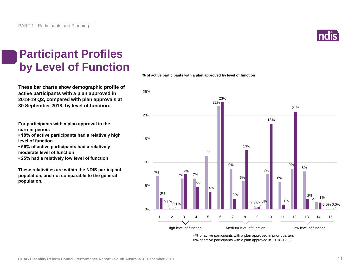PART 1 - Participants and Planning

#### **Participant Profiles by Level of Function**

**These bar charts show demographic profile of active participants with a plan approved in 2018-19 Q2, compared with plan approvals at 30 September 2018, by level of function.**

**For participants with a plan approval in the current period:** 

**• 18% of active participants had a relatively high level of function**

**• 56% of active participants had a relatively moderate level of function** 

**• 25% had a relatively low level of function**

**These relativities are within the NDIS participant population, and not comparable to the general population.**

**% of active participants with a plan approved by level of function**



■% of active participants with a plan approved in 2018-19 Q2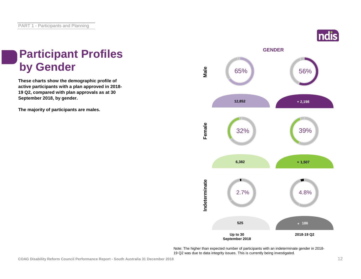### ndis

# **Participant Profiles**

**These charts show the demographic profile of active participants with a plan approved in 2018- 19 Q2, compared with plan approvals as at 30 September 2018, by gender.**

**The majority of participants are males.**



Note: The higher than expected number of participants with an indeterminate gender in 2018- 19 Q2 was due to data integrity issues. This is currently being investigated.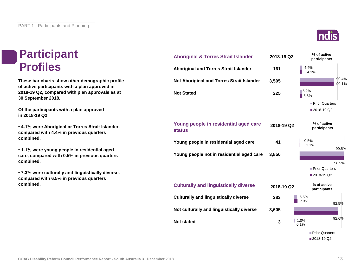#### **Participant Profiles**

**These bar charts show other demographic profile of active participants with a plan approved in 2018-19 Q2, compared with plan approvals as at 30 September 2018.**

**Of the participants with a plan approved in 2018-19 Q2:**

**• 4.1% were Aboriginal or Torres Strait Islander, compared with 4.4% in previous quarters combined.**

**• 1.1% were young people in residential aged care, compared with 0.5% in previous quarters combined.**

**• 7.3% were culturally and linguistically diverse, compared with 6.5% in previous quarters combined.**





90.4%

90.1%

99.5%

2018-19 Q2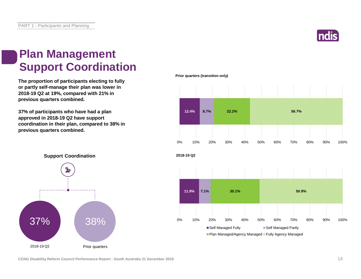

#### **Plan Management Support Coordination**

**The proportion of participants electing to fully or partly self-manage their plan was lower in 2018-19 Q2 at 19%, compared with 21% in previous quarters combined.**

**37% of participants who have had a plan approved in 2018-19 Q2 have support coordination in their plan, compared to 38% in previous quarters combined.**

**Prior quarters (transition only)**







**COAG Disability Reform Council Performance Report - South Australia 31 December 2018** 14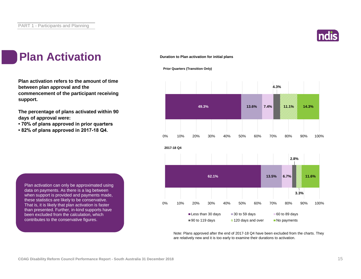

#### **Plan Activation**

**Plan activation refers to the amount of time between plan approval and the commencement of the participant receiving support.**

**The percentage of plans activated within 90 days of approval were:** 

- **70% of plans approved in prior quarters**
- **82% of plans approved in 2017-18 Q4.**

**Duration to Plan activation for initial plans**

#### **Prior Quarters (Transition Only)**



Note: Plans approved after the end of 2017-18 Q4 have been excluded from the charts. They are relatively new and it is too early to examine their durations to activation.

Plan activation can only be approximated using data on payments. As there is a lag between when support is provided and payments made, these statistics are likely to be conservative. That is, it is likely that plan activation is faster than presented. Further, in-kind supports have been excluded from the calculation, which contributes to the conservative figures.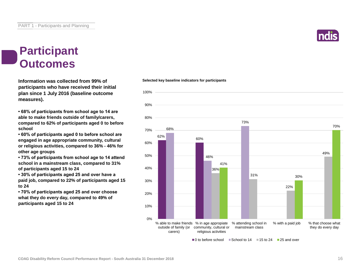#### **Participant Outcomes**

**Information was collected from 99% of participants who have received their initial plan since 1 July 2016 (baseline outcome measures).**

**• 68% of participants from school age to 14 are able to make friends outside of family/carers, compared to 62% of participants aged 0 to before school**

**• 60% of participants aged 0 to before school are engaged in age appropriate community, cultural or religious activities, compared to 36% - 46% for other age groups**

**• 73% of participants from school age to 14 attend school in a mainstream class, compared to 31% of participants aged 15 to 24**

**• 30% of participants aged 25 and over have a paid job, compared to 22% of participants aged 15 to 24**

**• 70% of participants aged 25 and over choose what they do every day, compared to 49% of participants aged 15 to 24**

#### **Selected key baseline indicators for participants**



 $\Box$  0 to before school  $\Box$  School to 14  $\Box$  15 to 24  $\Box$  25 and over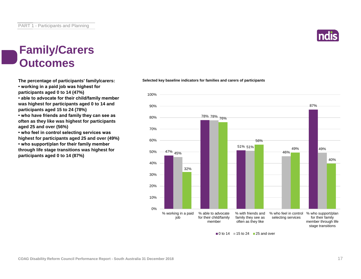#### **Family/Carers Outcomes**

**The percentage of participants' family/carers: • working in a paid job was highest for participants aged 0 to 14 (47%) • able to advocate for their child/family member** 

**was highest for participants aged 0 to 14 and participants aged 15 to 24 (78%)**

**• who have friends and family they can see as often as they like was highest for participants aged 25 and over (56%)**

**• who feel in control selecting services was highest for participants aged 25 and over (49%) • who support/plan for their family member through life stage transitions was highest for participants aged 0 to 14 (87%)**

#### **Selected key baseline indicators for families and carers of participants**



 $\blacksquare$  0 to 14  $\blacksquare$  15 to 24  $\blacksquare$  25 and over

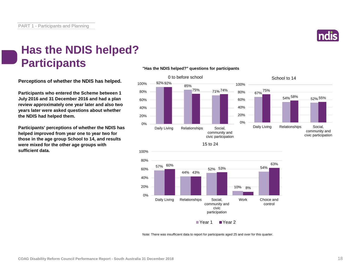

#### **Has the NDIS helped? Participants**

**Perceptions of whether the NDIS has helped.**

**Participants who entered the Scheme between 1 July 2016 and 31 December 2016 and had a plan review approximately one year later and also two years later were asked questions about whether the NDIS had helped them.**

**Participants' perceptions of whether the NDIS has helped improved from year one to year two for those in the age group School to 14, and results were mixed for the other age groups with sufficient data.**

#### **"Has the NDIS helped?" questions for participants**





Note: There was insufficient data to report for participants aged 25 and over for this quarter.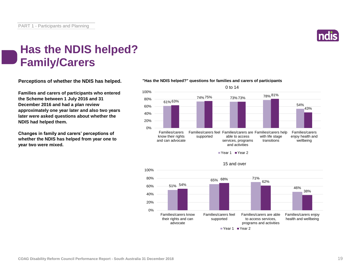

#### **Has the NDIS helped? Family/Carers**

**Perceptions of whether the NDIS has helped.**

**Families and carers of participants who entered the Scheme between 1 July 2016 and 31 December 2016 and had a plan review approximately one year later and also two years later were asked questions about whether the NDIS had helped them.**

**Changes in family and carers' perceptions of whether the NDIS has helped from year one to year two were mixed.**

#### **"Has the NDIS helped?" questions for families and carers of participants**



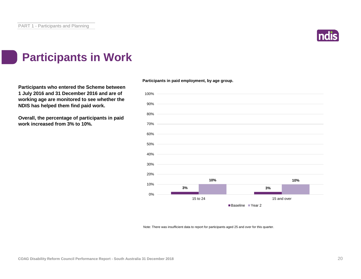

#### **Participants in Work**

**Participants who entered the Scheme between 1 July 2016 and 31 December 2016 and are of working age are monitored to see whether the NDIS has helped them find paid work.**

**Overall, the percentage of participants in paid work increased from 3% to 10%.**



Note: There was insufficient data to report for participants aged 25 and over for this quarter.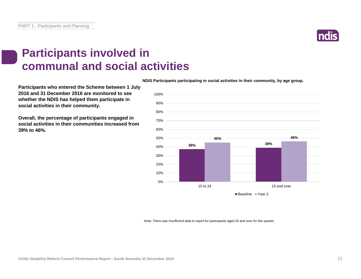

#### **Participants involved in communal and social activities**

**NDIS Participants participating in social activities in their community, by age group.**

**Participants who entered the Scheme between 1 July 2016 and 31 December 2016 are monitored to see whether the NDIS has helped them participate in social activities in their community.**

**Overall, the percentage of participants engaged in social activities in their communities increased from 39% to 46%.**



Note: There was insufficient data to report for participants aged 25 and over for this quarter.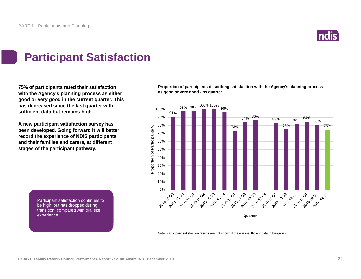

### **Participant Satisfaction**

**75% of participants rated their satisfaction with the Agency's planning process as either good or very good in the current quarter. This has decreased since the last quarter with sufficient data but remains high.** 

**A new participant satisfaction survey has been developed. Going forward it will better record the experience of NDIS participants, and their families and carers, at different stages of the participant pathway.**

**Proportion of participants describing satisfaction with the Agency's planning process as good or very good - by quarter**



Note: Participant satisfaction results are not shown if there is insufficient data in the group.

Participant satisfaction continues to be high, but has dropped during transition, compared with trial site experience. The NDIS process and what happens  $\mathbb{R}^n$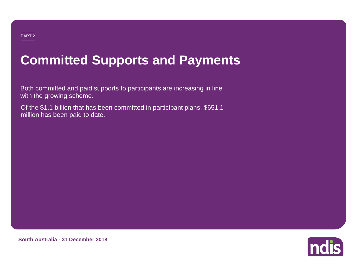# **Committed Supports and Payments**

Both committed and paid supports to participants are increasing in line with the growing scheme.

Of the \$1.1 billion that has been committed in participant plans, \$651.1 million has been paid to date.

**Indis** 

**South Australia - 31 December 2018**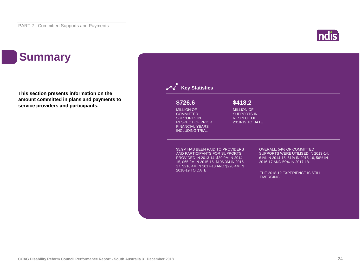### **ndis**

### **Summary**

**This section presents information on the amount committed in plans and payments to service providers and participants.**

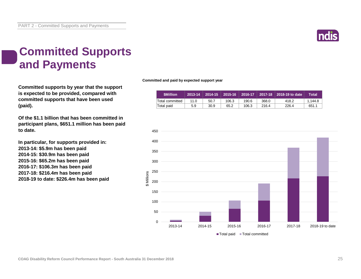

### **Committed Supports and Payments**

**Committed supports by year that the support is expected to be provided, compared with committed supports that have been used (paid).**

**Of the \$1.1 billion that has been committed in participant plans, \$651.1 million has been paid to date.**

**In particular, for supports provided in: 2013-14: \$5.9m has been paid 2014-15: \$30.9m has been paid 2015-16: \$65.2m has been paid 2016-17: \$106.3m has been paid 2017-18: \$216.4m has been paid 2018-19 to date: \$226.4m has been paid** **Committed and paid by expected support year**

| <b>SMillion</b> | 2013-14 | 2014-15 |       | 2015-16   2016-17 |       | 2017-18 2018-19 to date | Total   |
|-----------------|---------|---------|-------|-------------------|-------|-------------------------|---------|
| Total committed | 11.0    | 50.7    | 106.3 | 190.6             | 368.0 | 418.2                   | 1.144.8 |
| Total paid      | 5.9     | 30.9    | 65.2  | 106.3             | 216.4 | 226.4                   | 651.1   |

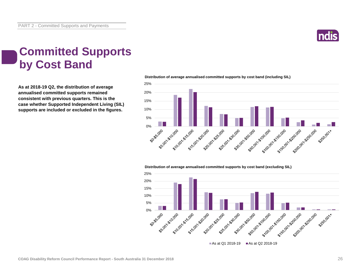

#### **Committed Supports by Cost Band**

**As at 2018-19 Q2, the distribution of average annualised committed supports remained consistent with previous quarters. This is the case whether Supported Independent Living (SIL) supports are included or excluded in the figures.**



**Distribution of average annualised committed supports by cost band (including SIL)** 

**Distribution of average annualised committed supports by cost band (excluding SIL)** 

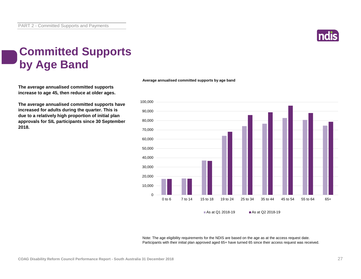

### **Committed Supports by Age Band**

**The average annualised committed supports increase to age 45, then reduce at older ages.**

**The average annualised committed supports have increased for adults during the quarter. This is due to a relatively high proportion of initial plan approvals for SIL participants since 30 September 2018.**



**Average annualised committed supports by age band**

Note: The age eligibility requirements for the NDIS are based on the age as at the access request date. Participants with their initial plan approved aged 65+ have turned 65 since their access request was received.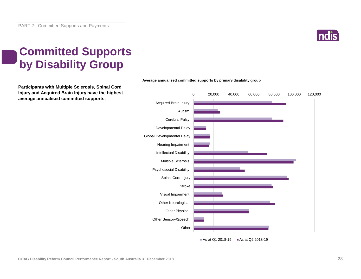

### **Committed Supports by Disability Group**

**Participants with Multiple Sclerosis, Spinal Cord Injury and Acquired Brain Injury have the highest average annualised committed supports.**



#### **Average annualised committed supports by primary disability group**

As at Q1 2018-19  $\blacksquare$  As at Q2 2018-19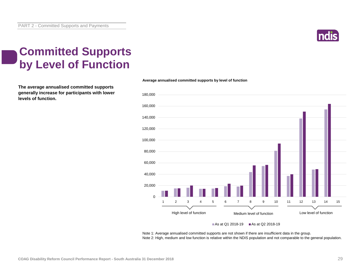

### **Committed Supports by Level of Function**

**The average annualised committed supports generally increase for participants with lower levels of function.**



**Average annualised committed supports by level of function**

As at Q1 2018-19  $\blacksquare$  As at Q2 2018-19

Note 1: Average annualised committed supports are not shown if there are insufficient data in the group. Note 2: High, medium and low function is relative within the NDIS population and not comparable to the general population.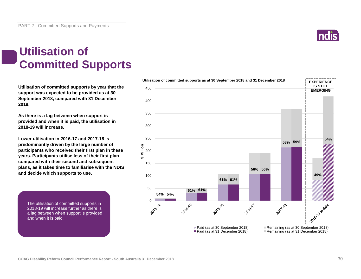

### **Utilisation of Committed Supports**

**Utilisation of committed supports by year that the support was expected to be provided as at 30 September 2018, compared with 31 December 2018.** 

**As there is a lag between when support is provided and when it is paid, the utilisation in 2018-19 will increase.** 

**Lower utilisation in 2016-17 and 2017-18 is predominantly driven by the large number of participants who received their first plan in these years. Participants utilise less of their first plan compared with their second and subsequent plans, as it takes time to familiarise with the NDIS and decide which supports to use.**

The utilisation of committed supports in 2018-19 will increase further as there is a lag between when support is provided and when it is paid.

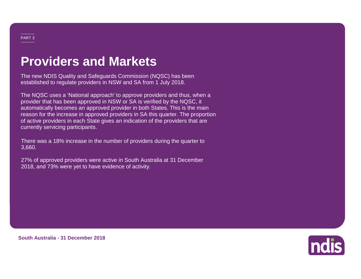### **Providers and Markets**

The new NDIS Quality and Safeguards Commission (NQSC) has been established to regulate providers in NSW and SA from 1 July 2018.

The NQSC uses a 'National approach' to approve providers and thus, when a provider that has been approved in NSW or SA is verified by the NQSC, it automatically becomes an approved provider in both States. This is the main reason for the increase in approved providers in SA this quarter. The proportion of active providers in each State gives an indication of the providers that are currently servicing participants.

There was a 18% increase in the number of providers during the quarter to 3,660.

27% of approved providers were active in South Australia at 31 December 2018, and 73% were yet to have evidence of activity.



**South Australia - 31 December 2018**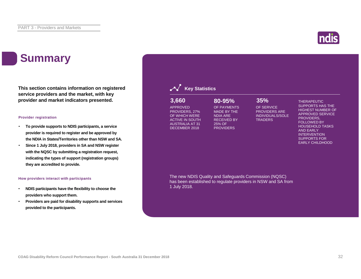### **Summary**

**This section contains information on registered service providers and the market, with key provider and market indicators presented.**

#### **Provider registration**

- **To provide supports to NDIS participants, a service provider is required to register and be approved by the NDIA in States/Territories other than NSW and SA.**
- **Since 1 July 2018, providers in SA and NSW register with the NQSC by submitting a registration request, indicating the types of support (registration groups) they are accredited to provide.**

#### **How providers interact with participants**

- **NDIS participants have the flexibility to choose the providers who support them.**
- **Providers are paid for disability supports and services provided to the participants.**

#### **Key Statistics 3,660 80-95% 35%**

APPROVED PROVIDERS, 27% OF WHICH WERE ACTIVE IN SOUTH AUSTRALIA AT 31 DECEMBER 2018

OF SERVICE PROVIDERS ARE INDIVIDUALS/SOLE TRADERS

THERAPEUTIC SUPPORTS HAS THE HIGHEST NUMBER OF APPROVED SERVICE PROVIDERS, FOLLOWED BY HOUSEHOLD TASKS AND EARLY **INTERVENTION** SUPPORTS FOR EARLY CHILDHOOD

The new NDIS Quality and Safeguards Commission (NQSC) has been established to regulate providers in NSW and SA from 1 July 2018.

OF PAYMENTS MADE BY THE NDIA ARE RECEIVED BY 25% OF **PROVIDERS** 

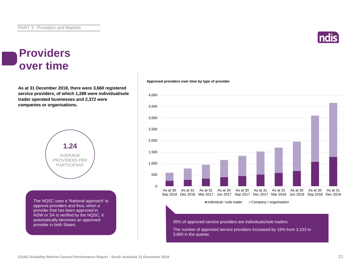#### **Providers over time**

**As at 31 December 2018, there were 3,660 registered service providers, of which 1,288 were individual/sole trader operated businesses and 2,372 were companies or organisations.**



The NQSC uses a 'National approach' to approve providers and thus, when a provider that has been approved in NSW or SA is verified by the NQSC, it automatically becomes an approved provider in both States.



**Approved providers over time by type of provider**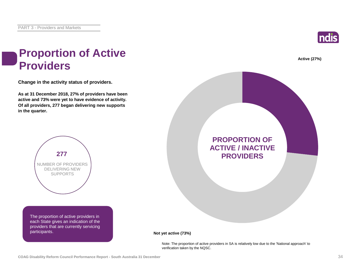

#### **Proportion of Active Providers**

**Change in the activity status of providers.**

**As at 31 December 2018, 27% of providers have been active and 73% were yet to have evidence of activity. Of all providers, 277 began delivering new supports in the quarter.**



The proportion of active providers in each State gives an indication of the providers that are currently servicing participants.



**Not yet active (73%)**

Note: The proportion of active providers in SA is relatively low due to the 'National approach' to verification taken by the NQSC.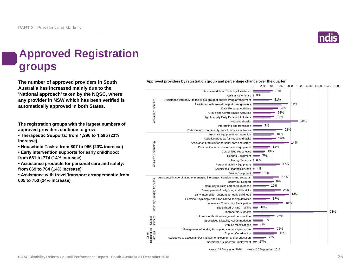

### **Approved Registration groups**

**The number of approved providers in South** *Approved providers by registration group and percentage change over the quarter***<br>
<b>Approved providers** by registration group and percentage change over the quarter **Australia has increased mainly due to the 'National approach' taken by the NQSC, where any provider in NSW which has been verified is automatically approved in both States.**

**The registration groups with the largest numbers of approved providers continue to grow:**

**• Therapeutic Supports: from 1,296 to 1,595 (23% increase)**

**• Household Tasks: from 807 to 966 (20% increase)**

**• Early Intervention supports for early childhood: from 681 to 774 (14% increase)**

**• Assistance products for personal care and safety: from 669 to 764 (14% increase)**

**• Assistance with travel/transport arrangements: from 605 to 753 (24% increase)**

0 200 400 600 800 1,000 1,200 1,400 1,600 1,800 Accommodation / Tenancy Assistance 13% Assistance Animals 0% 21% ance services Assistance with daily life tasks in a group or shared living arrangement Assistance services 24% Assistance with travel/transport arrangements 26% Daily Personal Activities Group and Centre Based Activities 23% 21% High Intensity Daily Personal Activities 20% Household tasks Interpreting and translation 7% 28% Participation in community, social and civic activities 15% Assistive equipment for recreation 19% Assistive products for household tasks Assistive Technology Assistive Technology 14% Assistance products for personal care and safety  $14%$ Communication and information equipment Customised Prosthetics 13% Hearing Equipment  $\equiv$  7% 0% Hearing Services 17% Personal Mobility Equipment Specialised Hearing Services | 4% Vision Equipment 12% Assistance in coordinating or managing life stages, transitions and supports 27% Capacity Building Services Service 8% Behaviour Support 19% Community nursing care for high needs 25% Building<sup>S</sup> Development of daily living and life skills Early Intervention supports for early childhood 14% Exercise Physiology and Physical Wellbeing activities 37% Capacity 18% Innovative Community Participation  $-18%$ Specialised Driving Training 23% Therapeutic Supports 26% Home modification design and construction Capital services 5% Specialised Disability Accommodation Vehicle Modifications 4% 26% Management of funding for supports in participants plan Registration Groups 15% Support Coordination Other 23% Assistance to access and/or maintain employment and/or education  $-27%$ Specialised Supported Employment

As at 31 December 2018 As at 30 September 2018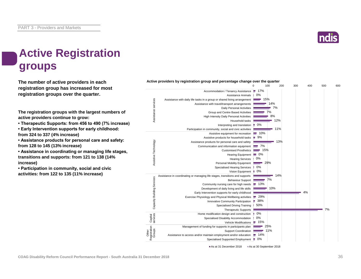

### **Active Registration groups**

**The number of active providers in each registration group has increased for most registration groups over the quarter.**

**The registration groups with the largest numbers of active providers continue to grow:**

**• Therapeutic Supports: from 456 to 490 (7% increase)**

**• Early Intervention supports for early childhood: from 324 to 337 (4% increase)**

**• Assistance products for personal care and safety: from 128 to 145 (13% increase)**

**• Assistance in coordinating or managing life stages, transitions and supports: from 121 to 138 (14% increase)**

**• Participation in community, social and civic activities: from 122 to 135 (11% increase)**

|                                 |                                                                              | 0       | 100 | 200 | 300 | 400 | 500 | 600 |
|---------------------------------|------------------------------------------------------------------------------|---------|-----|-----|-----|-----|-----|-----|
|                                 | Accommodation / Tenancy Assistance                                           | е       | 17% |     |     |     |     |     |
|                                 | Assistance Animals                                                           | 0%      |     |     |     |     |     |     |
|                                 | Assistance with daily life tasks in a group or shared living arrangement     |         | 15% |     |     |     |     |     |
| Assistance services             | Assistance with travel/transport arrangements                                |         |     | 14% |     |     |     |     |
|                                 | Daily Personal Activities                                                    |         |     | 7%  |     |     |     |     |
|                                 | Group and Centre Based Activities                                            |         | 7%  |     |     |     |     |     |
|                                 | High Intensity Daily Personal Activities                                     |         |     | 8%  |     |     |     |     |
|                                 | Household tasks                                                              |         |     | 12% |     |     |     |     |
|                                 | Interpreting and translation                                                 | 0%<br>н |     |     |     |     |     |     |
|                                 | Participation in community, social and civic activities                      |         |     | 11% |     |     |     |     |
|                                 | Assistive equipment for recreation                                           |         | 10% |     |     |     |     |     |
|                                 | Assistive products for household tasks                                       | 9%<br>÷ |     |     |     |     |     |     |
|                                 | Assistance products for personal care and safety                             |         |     | 13% |     |     |     |     |
|                                 | Communication and information equipment                                      |         | 7%  |     |     |     |     |     |
|                                 | <b>Customised Prosthetics</b>                                                |         | 15% |     |     |     |     |     |
| Assistive Technology            | <b>Hearing Equipment</b>                                                     | $= 0\%$ |     |     |     |     |     |     |
|                                 | <b>Hearing Services</b>                                                      | 0%      |     |     |     |     |     |     |
|                                 | Personal Mobility Equipment                                                  |         | 29% |     |     |     |     |     |
|                                 | <b>Specialised Hearing Services</b>                                          | 0%      |     |     |     |     |     |     |
|                                 | Vision Equipment                                                             | 0%      |     |     |     |     |     |     |
|                                 | Assistance in coordinating or managing life stages, transitions and supports |         |     | 14% |     |     |     |     |
| Capacity Building Services      | <b>Behaviour Support</b>                                                     |         | 7%  |     |     |     |     |     |
|                                 | Community nursing care for high needs                                        |         | 13% |     |     |     |     |     |
|                                 | Development of daily living and life skills                                  |         |     | 10% |     |     |     |     |
|                                 | Early Intervention supports for early childhood                              |         |     |     |     | 4%  |     |     |
|                                 | Exercise Physiology and Physical Wellbeing activities                        |         | 29% |     |     |     |     |     |
|                                 | Innovative Community Participation                                           | 38%     |     |     |     |     |     |     |
|                                 | <b>Specialised Driving Training</b>                                          | 50%     |     |     |     |     |     |     |
|                                 | <b>Therapeutic Supports</b>                                                  |         |     |     |     |     | 7%  |     |
| services                        | Home modification design and construction                                    | 0%      |     |     |     |     |     |     |
| Capital                         | Specialised Disability Accommodation                                         | 0%      |     |     |     |     |     |     |
|                                 | <b>Vehicle Modifications</b>                                                 | 15%     |     |     |     |     |     |     |
| Other<br>Registration<br>Groups | Management of funding for supports in participants plan                      |         | 25% |     |     |     |     |     |
|                                 | <b>Support Coordination</b>                                                  |         | 11% |     |     |     |     |     |
|                                 | Assistance to access and/or maintain employment and/or education             |         | 14% |     |     |     |     |     |
|                                 | Specialised Supported Employment                                             | 0%      |     |     |     |     |     |     |

**Active providers by registration group and percentage change over the quarter**

As at 31 December 2018 As at 30 September 2018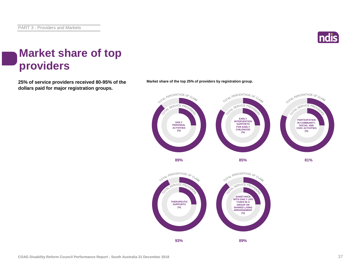

#### **Market share of top providers**

**25% of service providers received 80-95% of the Market share of the top 25% of providers by registration group. dollars paid for major registration groups.**



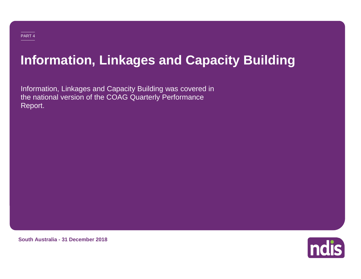### **Information, Linkages and Capacity Building**

Information, Linkages and Capacity Building was covered in the national version of the COAG Quarterly Performance Report.



**South Australia - 31 December 2018**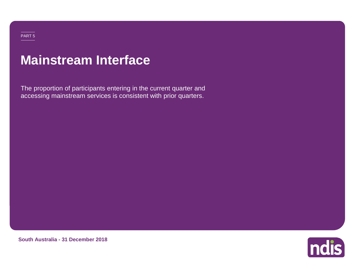### **Mainstream Interface**

The proportion of participants entering in the current quarter and accessing mainstream services is consistent with prior quarters.



**South Australia - 31 December 2018**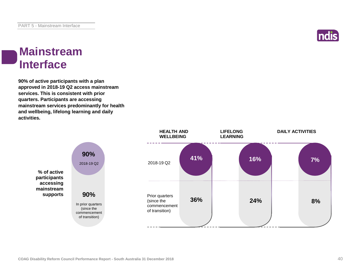

#### **Mainstream Interface**

**90% of active participants with a plan approved in 2018-19 Q2 access mainstream services. This is consistent with prior quarters. Participants are accessing mainstream services predominantly for health and wellbeing, lifelong learning and daily activities.**